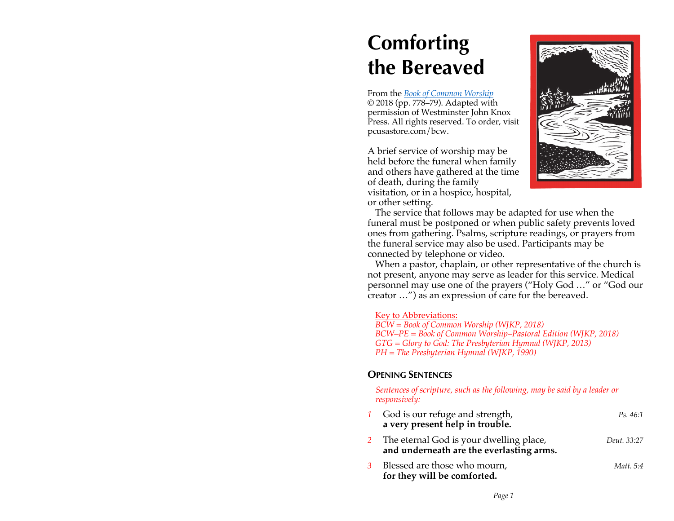# **Comforting the Bereaved**

From the *Book of Common Worship* © 2018 (pp. 778–79). Adapted with permission of Westminster John Knox Press. All rights reserved. To order, visit pcusastore.com/bcw.

A brief service of worship may be held before the funeral when family and others have gathered at the time of death, during the family visitation, or in a hospice, hospital, or other setting.



The service that follows may be adapted for use when the funeral must be postponed or when public safety prevents loved ones from gathering. Psalms, scripture readings, or prayers from the funeral service may also be used. Participants may be connected by telephone or video.

When a pastor, chaplain, or other representative of the church is not present, anyone may serve as leader for this service. Medical personnel may use one of the prayers ("Holy God …" or "God our creator …") as an expression of care for the bereaved.

#### Key to Abbreviations:

*BCW = Book of Common Worship (WJKP, 2018) BCW–PE = Book of Common Worship–Pastoral Edition (WJKP, 2018) GTG = Glory to God: The Presbyterian Hymnal (WJKP, 2013) PH = The Presbyterian Hymnal (WJKP, 1990)*

#### **OPENING SENTENCES**

*Sentences of scripture, such as the following, may be said by a leader or responsively:*

| God is our refuge and strength,<br>a very present help in trouble.                  | Ps. 46:1    |
|-------------------------------------------------------------------------------------|-------------|
| The eternal God is your dwelling place,<br>and underneath are the everlasting arms. | Deut. 33:27 |
| Blessed are those who mourn,<br>for they will be comforted.                         | Matt. 5:4   |